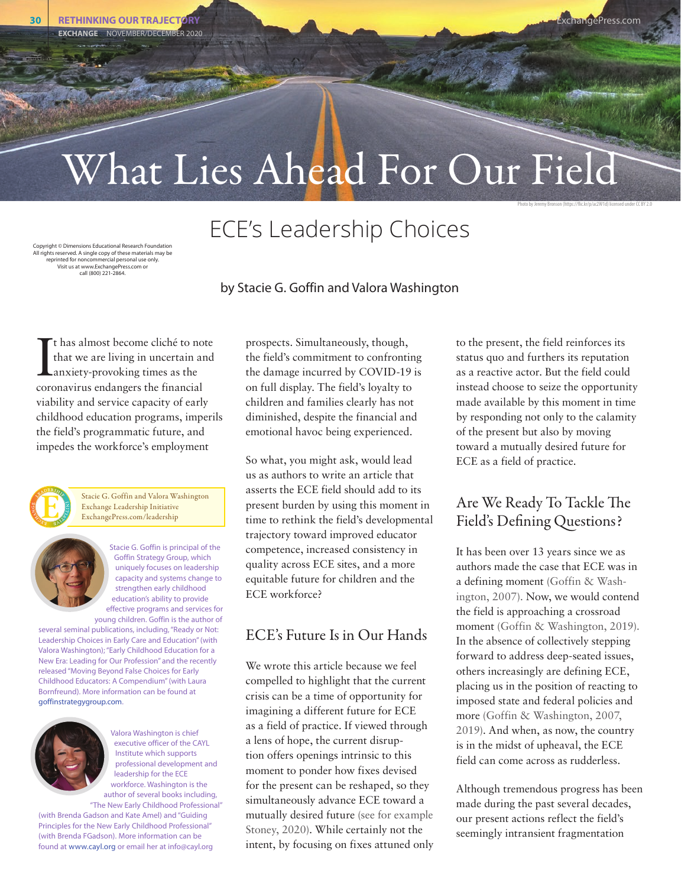Photo by Jeremy Bronson (https://flic.kr/p/ac2W1d) licensed under CC BY 2.0

# What Lies Ahead For Our Field

# ECE's Leadership Choices

Copyright © Dimensions Educational Research Foundation All rights reserved. A single copy of these materials may be reprinted for noncommercial personal use only. Visit us at www.ExchangePress.com or call (800) 221-2864.

#### by Stacie G. Goffin and Valora Washington

It has almost become cliché to no<br>that we are living in uncertain are<br>anxiety-provoking times as the<br>coronavirus endangers the financial t has almost become cliché to note that we are living in uncertain and anxiety-provoking times as the viability and service capacity of early childhood education programs, imperils the field's programmatic future, and impedes the workforce's employment



Stacie G. Goffin and Valora Washington Exchange Leadership Initiative ExchangePress.com/leadership

> Stacie G. Goffin is principal of the Goffin Strategy Group, which uniquely focuses on leadership capacity and systems change to strengthen early childhood education's ability to provide effective programs and services for

young children. Goffin is the author of several seminal publications, including, "Ready or Not: Leadership Choices in Early Care and Education" (with Valora Washington); "Early Childhood Education for a New Era: Leading for Our Profession" and the recently released "Moving Beyond False Choices for Early Childhood Educators: A Compendium" (with Laura Bornfreund). More information can be found at goffinstrategygroup.com.



Valora Washington is chief executive officer of the CAYL Institute which supports professional development and leadership for the ECE workforce. Washington is the author of several books including, "The New Early Childhood Professional"

(with Brenda Gadson and Kate Amel) and "Guiding Principles for the New Early Childhood Professional" (with Brenda FGadson). More information can be found at [www.cayl.org](http://www.cayl.org) or email her at info@cayl.org

prospects. Simultaneously, though, the field's commitment to confronting the damage incurred by COVID-19 is on full display. The field's loyalty to children and families clearly has not diminished, despite the financial and emotional havoc being experienced.

So what, you might ask, would lead us as authors to write an article that asserts the ECE field should add to its present burden by using this moment in time to rethink the field's developmental trajectory toward improved educator competence, increased consistency in quality across ECE sites, and a more equitable future for children and the ECE workforce?

# ECE's Future Is in Our Hands

We wrote this article because we feel compelled to highlight that the current crisis can be a time of opportunity for imagining a different future for ECE as a field of practice. If viewed through a lens of hope, the current disruption offers openings intrinsic to this moment to ponder how fixes devised for the present can be reshaped, so they simultaneously advance ECE toward a mutually desired future (see for example Stoney, 2020). While certainly not the intent, by focusing on fixes attuned only to the present, the field reinforces its status quo and furthers its reputation as a reactive actor. But the field could instead choose to seize the opportunity made available by this moment in time by responding not only to the calamity of the present but also by moving toward a mutually desired future for ECE as a field of practice.

# Are We Ready To Tackle The Field's Defining Questions?

It has been over 13 years since we as authors made the case that ECE was in a defining moment (Goffin & Washington, 2007). Now, we would contend the field is approaching a crossroad moment (Goffin & Washington, 2019). In the absence of collectively stepping forward to address deep-seated issues, others increasingly are defining ECE, placing us in the position of reacting to imposed state and federal policies and more (Goffin & Washington, 2007, 2019). And when, as now, the country is in the midst of upheaval, the ECE field can come across as rudderless.

Although tremendous progress has been made during the past several decades, our present actions reflect the field's seemingly intransient fragmentation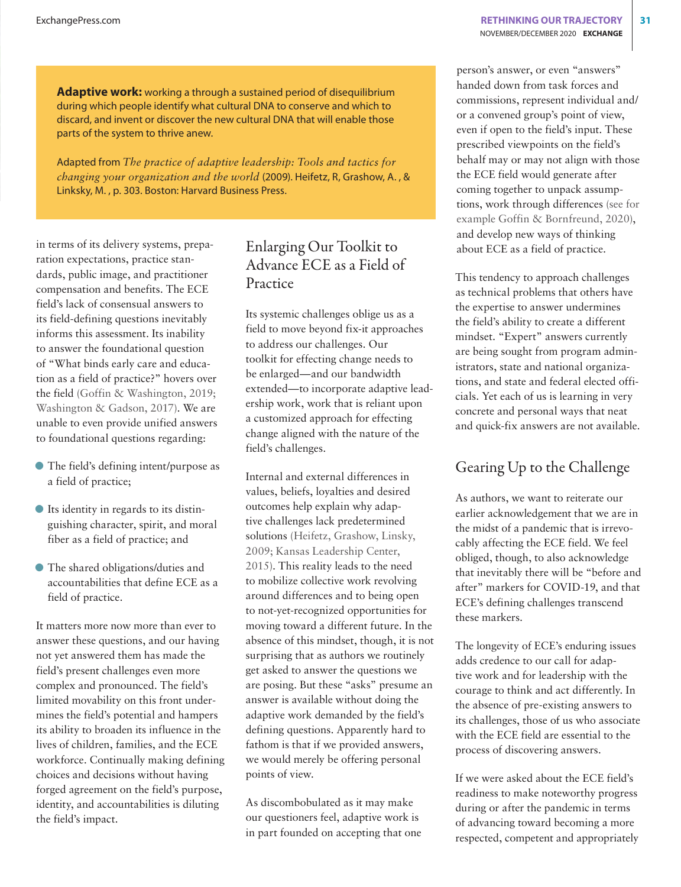**Adaptive work:** working a through a sustained period of disequilibrium during which people identify what cultural DNA to conserve and which to discard, and invent or discover the new cultural DNA that will enable those parts of the system to thrive anew.

Adapted from *The practice of adaptive leadership: Tools and tactics for changing your organization and the world* (2009). Heifetz, R, Grashow, A. , & Linksky, M. , p. 303. Boston: Harvard Business Press.

in terms of its delivery systems, preparation expectations, practice standards, public image, and practitioner compensation and benefits. The ECE field's lack of consensual answers to its field-defining questions inevitably informs this assessment. Its inability to answer the foundational question of "What binds early care and education as a field of practice?" hovers over the field (Goffin & Washington, 2019; Washington & Gadson, 2017). We are unable to even provide unified answers to foundational questions regarding:

- D The field's defining intent/purpose as a field of practice;
- D Its identity in regards to its distinguishing character, spirit, and moral fiber as a field of practice; and
- The shared obligations/duties and accountabilities that define ECE as a field of practice.

It matters more now more than ever to answer these questions, and our having not yet answered them has made the field's present challenges even more complex and pronounced. The field's limited movability on this front undermines the field's potential and hampers its ability to broaden its influence in the lives of children, families, and the ECE workforce. Continually making defining choices and decisions without having forged agreement on the field's purpose, identity, and accountabilities is diluting the field's impact.

#### Enlarging Our Toolkit to Advance ECE as a Field of Practice

Its systemic challenges oblige us as a field to move beyond fix-it approaches to address our challenges. Our toolkit for effecting change needs to be enlarged—and our bandwidth extended—to incorporate adaptive leadership work, work that is reliant upon a customized approach for effecting change aligned with the nature of the field's challenges.

Internal and external differences in values, beliefs, loyalties and desired outcomes help explain why adaptive challenges lack predetermined solutions (Heifetz, Grashow, Linsky, 2009; Kansas Leadership Center, 2015). This reality leads to the need to mobilize collective work revolving around differences and to being open to not-yet-recognized opportunities for moving toward a different future. In the absence of this mindset, though, it is not surprising that as authors we routinely get asked to answer the questions we are posing. But these "asks" presume an answer is available without doing the adaptive work demanded by the field's defining questions. Apparently hard to fathom is that if we provided answers, we would merely be offering personal points of view.

As discombobulated as it may make our questioners feel, adaptive work is in part founded on accepting that one person's answer, or even "answers" handed down from task forces and commissions, represent individual and/ or a convened group's point of view, even if open to the field's input. These prescribed viewpoints on the field's behalf may or may not align with those the ECE field would generate after coming together to unpack assumptions, work through differences (see for example Goffin & Bornfreund, 2020), and develop new ways of thinking about ECE as a field of practice.

This tendency to approach challenges as technical problems that others have the expertise to answer undermines the field's ability to create a different mindset. "Expert" answers currently are being sought from program administrators, state and national organizations, and state and federal elected officials. Yet each of us is learning in very concrete and personal ways that neat and quick-fix answers are not available.

# Gearing Up to the Challenge

As authors, we want to reiterate our earlier acknowledgement that we are in the midst of a pandemic that is irrevocably affecting the ECE field. We feel obliged, though, to also acknowledge that inevitably there will be "before and after" markers for COVID-19, and that ECE's defining challenges transcend these markers.

The longevity of ECE's enduring issues adds credence to our call for adaptive work and for leadership with the courage to think and act differently. In the absence of pre-existing answers to its challenges, those of us who associate with the ECE field are essential to the process of discovering answers.

If we were asked about the ECE field's readiness to make noteworthy progress during or after the pandemic in terms of advancing toward becoming a more respected, competent and appropriately